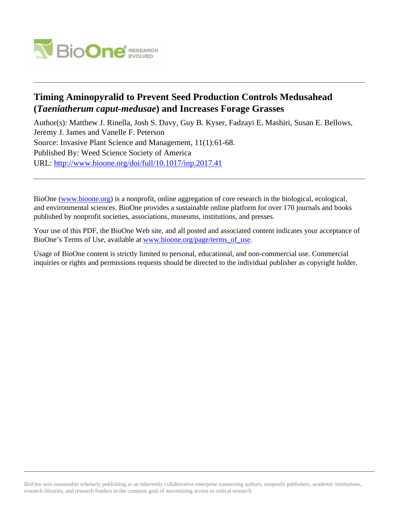

# **Timing Aminopyralid to Prevent Seed Production Controls Medusahead (***Taeniatherum caput-medusae***) and Increases Forage Grasses**

Author(s): Matthew J. Rinella, Josh S. Davy, Guy B. Kyser, Fadzayi E. Mashiri, Susan E. Bellows, Jeremy J. James and Vanelle F. Peterson Source: Invasive Plant Science and Management, 11(1):61-68. Published By: Weed Science Society of America URL: <http://www.bioone.org/doi/full/10.1017/inp.2017.41>

BioOne [\(www.bioone.org\)](http://www.bioone.org) is a nonprofit, online aggregation of core research in the biological, ecological, and environmental sciences. BioOne provides a sustainable online platform for over 170 journals and books published by nonprofit societies, associations, museums, institutions, and presses.

Your use of this PDF, the BioOne Web site, and all posted and associated content indicates your acceptance of BioOne's Terms of Use, available at [www.bioone.org/page/terms\\_of\\_use.](http://www.bioone.org/page/terms_of_use)

Usage of BioOne content is strictly limited to personal, educational, and non-commercial use. Commercial inquiries or rights and permissions requests should be directed to the individual publisher as copyright holder.

BioOne sees sustainable scholarly publishing as an inherently collaborative enterprise connecting authors, nonprofit publishers, academic institutions, research libraries, and research funders in the common goal of maximizing access to critical research.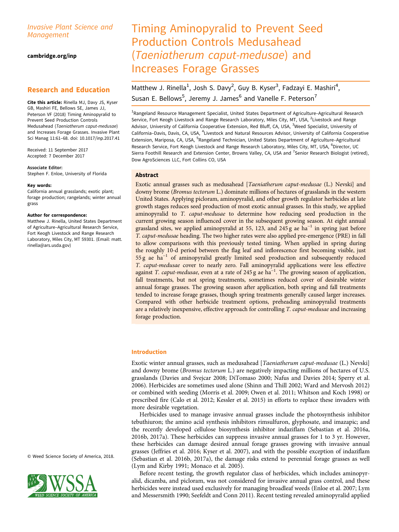# Invasive Plant Science and Management

cambridge.org/inp

# Research and Education

Cite this article: Rinella MJ, Davy JS, Kyser GB, Mashiri FE, Bellows SE, James JJ, Peterson VF (2018) Timing Aminopyralid to Prevent Seed Production Controls Medusahead (Taeniatherum caput-medusae) and Increases Forage Grasses. Invasive Plant Sci Manag 11:61–68. doi: 10.1017/inp.2017.41

Received: 11 September 2017 Accepted: 7 December 2017

Associate Editor: Stephen F. Enloe, University of Florida

# Key words:

California annual grasslands; exotic plant; forage production; rangelands; winter annual grass

#### Author for correspondence:

Matthew J. Rinella, United States Department of Agriculture–Agricultural Research Service, Fort Keogh Livestock and Range Research Laboratory, Miles City, MT 59301. (Email: [matt.](mailto:matt.rinella@ars.usda.gov) [rinella@ars.usda.gov\)](mailto:matt.rinella@ars.usda.gov)

© Weed Science Society of America, 2018.



# Timing Aminopyralid to Prevent Seed Production Controls Medusahead (Taeniatherum caput-medusae) and Increases Forage Grasses

# Matthew J. Rinella<sup>1</sup>, Josh S. Davy<sup>2</sup>, Guy B. Kyser<sup>3</sup>, Fadzayi E. Mashiri<sup>4</sup>, Susan E. Bellows<sup>5</sup>, Jeremy J. James<sup>6</sup> and Vanelle F. Peterson<sup>7</sup>

<sup>1</sup>Rangeland Resource Management Specialist, United States Department of Agriculture-Agricultural Research Service, Fort Keogh Livestock and Range Research Laboratory, Miles City, MT, USA, <sup>2</sup>Livestock and Range Advisor, University of California Cooperative Extension, Red Bluff, CA, USA, <sup>3</sup>Weed Specialist, University of California-Davis, Davis, CA, USA, <sup>4</sup>Livestock and Natural Resources Advisor, University of California Cooperative Extension, Mariposa, CA, USA, <sup>5</sup>Rangeland Technician, United States Department of Agriculture–Agricultural Research Service, Fort Keogh Livestock and Range Research Laboratory, Miles City, MT, USA, <sup>6</sup>Director, UC Sierra Foothill Research and Extension Center, Browns Valley, CA, USA and <sup>7</sup>Senior Research Biologist (retired), Dow AgroSciences LLC, Fort Collins CO, USA

# Abstract

Exotic annual grasses such as medusahead [Taeniatherum caput-medusae (L.) Nevski] and downy brome (Bromus tectorum L.) dominate millions of hectares of grasslands in the western United States. Applying picloram, aminopyralid, and other growth regulator herbicides at late growth stages reduces seed production of most exotic annual grasses. In this study, we applied aminopyralid to T. caput-medusae to determine how reducing seed production in the current growing season influenced cover in the subsequent growing season. At eight annual grassland sites, we applied aminopyralid at 55, 123, and 245 g ae ha<sup> $-1$ </sup> in spring just before T. caput-medusae heading. The two higher rates were also applied pre-emergence (PRE) in fall to allow comparisons with this previously tested timing. When applied in spring during the roughly 10-d period between the flag leaf and inflorescence first becoming visible, just 55 g ae ha−<sup>1</sup> of aminopyralid greatly limited seed production and subsequently reduced T. caput-medusae cover to nearly zero. Fall aminopyralid applications were less effective against *T. caput-medusae*, even at a rate of 245 g ae ha<sup>-1</sup>. The growing season of application, fall treatments, but not spring treatments, sometimes reduced cover of desirable winter annual forage grasses. The growing season after application, both spring and fall treatments tended to increase forage grasses, though spring treatments generally caused larger increases. Compared with other herbicide treatment options, preheading aminopyralid treatments are a relatively inexpensive, effective approach for controlling T. caput-medusae and increasing forage production.

# Introduction

Exotic winter annual grasses, such as medusahead [Taeniatherum caput-medusae (L.) Nevski] and downy brome (Bromus tectorum L.) are negatively impacting millions of hectares of U.S. grasslands (Davies and Svejcar [2008;](#page-7-0) DiTomaso [2000;](#page-7-0) Nafus and Davies [2014;](#page-8-0) Sperry et al. [2006\)](#page-8-0). Herbicides are sometimes used alone (Shinn and Thill [2002;](#page-8-0) Ward and Mervosh [2012\)](#page-8-0) or combined with seeding (Morris et al. [2009;](#page-8-0) Owen et al. [2011](#page-8-0); Whitson and Koch [1998\)](#page-8-0) or prescribed fire (Calo et al. [2012](#page-7-0); Kessler et al. [2015](#page-8-0)) in efforts to replace these invaders with more desirable vegetation.

Herbicides used to manage invasive annual grasses include the photosynthesis inhibitor tebuthiuron; the amino acid synthesis inhibitors rimsulfuron, glyphosate, and imazapic; and the recently developed cellulose biosynthesis inhibitor indaziflam (Sebastian et al. [2016a](#page-8-0), [2016b](#page-8-0), [2017a\)](#page-8-0). These herbicides can suppress invasive annual grasses for 1 to 3 yr. However, these herbicides can damage desired annual forage grasses growing with invasive annual grasses (Jeffries et al. [2016;](#page-7-0) Kyser et al. [2007\)](#page-8-0), and with the possible exception of indaziflam (Sebastian et al. [2016b, 2017a\)](#page-8-0), the damage risks extend to perennial forage grasses as well (Lym and Kirby [1991;](#page-8-0) Monaco et al. [2005](#page-8-0)).

Before recent testing, the growth regulator class of herbicides, which includes aminopyralid, dicamba, and picloram, was not considered for invasive annual grass control, and these herbicides were instead used exclusively for managing broadleaf weeds (Enloe et al. [2007;](#page-7-0) Lym and Messersmith [1990](#page-8-0); Seefeldt and Conn [2011](#page-8-0)). Recent testing revealed aminopyralid applied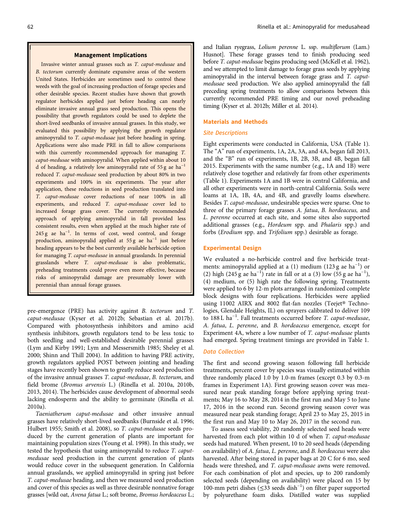#### Management Implications

Invasive winter annual grasses such as T. caput-medusae and B. tectorum currently dominate expansive areas of the western United States. Herbicides are sometimes used to control these weeds with the goal of increasing production of forage species and other desirable species. Recent studies have shown that growth regulator herbicides applied just before heading can nearly eliminate invasive annual grass seed production. This opens the possibility that growth regulators could be used to deplete the short-lived seedbanks of invasive annual grasses. In this study, we evaluated this possibility by applying the growth regulator aminopyralid to T. caput-medusae just before heading in spring. Applications were also made PRE in fall to allow comparisons with this currently recommended approach for managing T. caput-medusae with aminopyralid. When applied within about 10 d of heading, a relatively low aminopyralid rate of 55 g ae ha<sup>-1</sup> reduced T. caput-medusae seed production by about 80% in two experiments and 100% in six experiments. The year after application, these reductions in seed production translated into T. caput-medusae cover reductions of near 100% in all experiments, and reduced T. caput-medusae cover led to increased forage grass cover. The currently recommended approach of applying aminopyralid in fall provided less consistent results, even when applied at the much higher rate of 245 g ae ha<sup>-1</sup>. In terms of cost, weed control, and forage production, aminopyralid applied at 55 g ae ha−<sup>1</sup> just before heading appears to be the best currently available herbicide option for managing T. caput-medusae in annual grasslands. In perennial grasslands where T. caput-medusae is also problematic, preheading treatments could prove even more effective, because risks of aminopyralid damage are presumably lower with perennial than annual forage grasses.

pre-emergence (PRE) has activity against B. tectorum and T. caput-medusae (Kyser et al. [2012b](#page-8-0); Sebastian et al. [2017b](#page-8-0)). Compared with photosynthesis inhibitors and amino acid synthesis inhibitors, growth regulators tend to be less toxic to both seedling and well-established desirable perennial grasses (Lym and Kirby [1991;](#page-8-0) Lym and Messersmith [1985;](#page-8-0) Sheley et al. [2000](#page-8-0); Shinn and Thill [2004](#page-8-0)). In addition to having PRE activity, growth regulators applied POST between jointing and heading stages have recently been shown to greatly reduce seed production of the invasive annual grasses T. caput-medusae, B. tectorum, and field brome (Bromus arvensis L.) (Rinella et al. [2010a, 2010b](#page-8-0), [2013](#page-8-0), [2014\)](#page-8-0). The herbicides cause development of abnormal seeds lacking endosperm and the ability to germinate (Rinella et al. [2010a](#page-8-0)).

Taeniatherum caput-medusae and other invasive annual grasses have relatively short-lived seedbanks (Burnside et al. [1996](#page-7-0); Hulbert [1955](#page-7-0); Smith et al. [2008](#page-8-0)), so T. caput-medusae seeds produced by the current generation of plants are important for maintaining population sizes (Young et al. [1998](#page-8-0)). In this study, we tested the hypothesis that using aminopyralid to reduce T. caputmedusae seed production in the current generation of plants would reduce cover in the subsequent generation. In California annual grasslands, we applied aminopyralid in spring just before T. caput-medusae heading, and then we measured seed production and cover of this species as well as three desirable nonnative forage grasses [wild oat, Avena fatua L.; soft brome, Bromus hordeaceus L.; and Italian ryegrass, Lolium perenne L. ssp. multiflorum (Lam.) Husnot]. These forage grasses tend to finish producing seed before T. caput-medusae begins producing seed (McKell et al. [1962](#page-8-0)), and we attempted to limit damage to forage grass seeds by applying aminopyralid in the interval between forage grass and T. caputmedusae seed production. We also applied aminopyralid the fall preceding spring treatments to allow comparisons between this currently recommended PRE timing and our novel preheading timing (Kyser et al. [2012b;](#page-8-0) Miller et al. [2014\)](#page-8-0).

#### Materials and Methods

# Site Descriptions

Eight experiments were conducted in California, USA [\(Table 1\)](#page-3-0). The "A" run of experiments, 1A, 2A, 3A, and 4A, began fall 2013, and the "B" run of experiments, 1B, 2B, 3B, and 4B, began fall 2015. Experiments with the same number (e.g., 1A and 1B) were relatively close together and relatively far from other experiments ([Table 1\)](#page-3-0). Experiments 1A and 1B were in central California, and all other experiments were in north-central California. Soils were loams at 1A, 1B, 4A, and 4B, and gravelly loams elsewhere. Besides T. caput-medusae, undesirable species were sparse. One to three of the primary forage grasses A. fatua, B. hordeaceus, and L. perenne occurred at each site, and some sites also supported additional grasses (e.g., Hordeum spp. and Phalaris spp.) and forbs (Erodium spp. and Trifolium spp.) desirable as forage.

# Experimental Design

We evaluated a no-herbicide control and five herbicide treatments: aminopyralid applied at a (1) medium (123 g ae ha<sup>-1</sup>) or (2) high (245 g ae ha<sup>-1</sup>) rate in fall or at a (3) low (55 g ae ha<sup>-1</sup>), (4) medium, or (5) high rate the following spring. Treatments were applied to 6 by 12-m plots arranged in randomized complete block designs with four replications. Herbicides were applied using 11002 AIRX and 8002 flat-fan nozzles (Teejet® Technologies, Glendale Heights, IL) on sprayers calibrated to deliver 109 to 188 L ha−<sup>1</sup> . Fall treatments occurred before T. caput-medusae, A. fatua, L. perenne, and B. hordeaceus emergence, except for Experiment 4A, where a low number of T. caput-medusae plants had emerged. Spring treatment timings are provided in [Table 1.](#page-3-0)

# Data Collection

The first and second growing season following fall herbicide treatments, percent cover by species was visually estimated within three randomly placed 1.0 by 1.0-m frames (except 0.3 by 0.3-m frames in Experiment 1A). First growing season cover was measured near peak standing forage before applying spring treatments; May 16 to May 28, 2014 in the first run and May 5 to June 17, 2016 in the second run. Second growing season cover was measured near peak standing forage; April 23 to May 25, 2015 in the first run and May 10 to May 26, 2017 in the second run.

To assess seed viability, 20 randomly selected seed heads were harvested from each plot within 10 d of when T. caput-medusae seeds had matured. When present, 10 to 20 seed heads (depending on availability) of A. fatua, L. perenne, and B. hordeaceus were also harvested. After being stored in paper bags at 20 C for 6 mo, seed heads were threshed, and T. caput-medusae awns were removed. For each combination of plot and species, up to 200 randomly selected seeds (depending on availability) were placed on 15 by 100-mm petri dishes (≤33 seeds dish−<sup>1</sup> ) on filter paper supported by polyurethane foam disks. Distilled water was supplied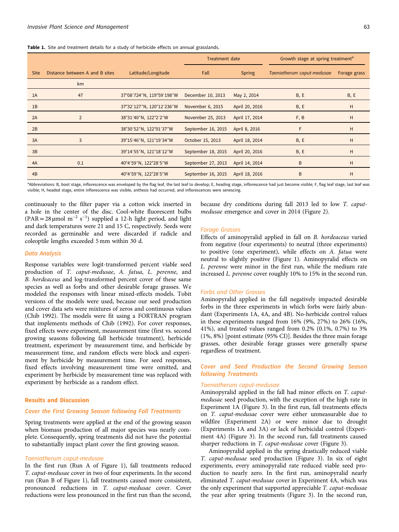<span id="page-3-0"></span>

|  |  |  | <b>Table 1.</b> Site and treatment details for a study of herbicide effects on annual grasslands. |  |  |  |  |  |  |  |  |  |  |
|--|--|--|---------------------------------------------------------------------------------------------------|--|--|--|--|--|--|--|--|--|--|
|--|--|--|---------------------------------------------------------------------------------------------------|--|--|--|--|--|--|--|--|--|--|

|             |                                |                           | <b>Treatment date</b> |                | Growth stage at spring treatment <sup>a</sup> |              |  |
|-------------|--------------------------------|---------------------------|-----------------------|----------------|-----------------------------------------------|--------------|--|
| <b>Site</b> | Distance between A and B sites | Latitude/Longitude        | Fall                  | <b>Spring</b>  | Taeniatherum caput-medusae                    | Forage grass |  |
|             | km                             |                           |                       |                |                                               |              |  |
| 1A          | 47                             | 37°08'724"N, 119°59'198"W | December 10, 2013     | May 2, 2014    | B, E                                          | B, E         |  |
| 1B          |                                | 37°32'127"N, 120°12'236"W | November 6, 2015      | April 20, 2016 | B, E                                          | H            |  |
| 2A          | 2                              | 38°31'40"N, 122°2'2"W     | November 25, 2013     | April 17, 2014 | F, B                                          | H            |  |
| 2B          |                                | 38°30'52"N, 122°01'37"W   | September 16, 2015    | April 8, 2016  | F                                             | H            |  |
| 3A          | 3                              | 39°15'46"N, 121°19'34"W   | October 15, 2013      | April 18, 2014 | B, E                                          | H            |  |
| 3B          |                                | 39°14'55"N, 121°18'12"W   | September 18, 2015    | April 20, 2016 | B, E                                          | H            |  |
| 4A          | 0.1                            | 40°4'59"N, 122°28'5"W     | September 27, 2013    | April 14, 2014 | B                                             | H            |  |
| 4B          |                                | 40°4'59"N, 122°28'5"W     | September 16, 2015    | April 18, 2016 | B                                             | H            |  |

a<br>Abbreviations: B, boot stage, inflorescence was enveloped by the flag leaf, the last leaf to develop; E, heading stage, inflorescence had just become visible; F, flag leaf stage, last leaf was visible; H, headed stage, entire inflorescence was visible, anthesis had occurred, and inflorescences were senescing.

continuously to the filter paper via a cotton wick inserted in a hole in the center of the disc. Cool-white fluorescent bulbs (PAR = 28 µmol m<sup>-2</sup> s<sup>-1</sup>) supplied a 12-h light period, and light and dark temperatures were 21 and 15 C, respectively. Seeds were recorded as germinable and were discarded if radicle and coleoptile lengths exceeded 5 mm within 30 d.

#### Data Analysis

Response variables were logit-transformed percent viable seed production of T. caput-medusae, A. fatua, L. perenne, and B. hordeaceus and log-transformed percent cover of these same species as well as forbs and other desirable forage grasses. We modeled the responses with linear mixed-effects models. Tobit versions of the models were used, because our seed production and cover data sets were mixtures of zeros and continuous values (Chib [1992\)](#page-7-0). The models were fit using a FORTRAN program that implements methods of Chib [\(1992](#page-7-0)). For cover responses, fixed effects were experiment, measurement time (first vs. second growing seasons following fall herbicide treatment), herbicide treatment, experiment by measurement time, and herbicide by measurement time, and random effects were block and experiment by herbicide by measurement time. For seed responses, fixed effects involving measurement time were omitted, and experiment by herbicide by measurement time was replaced with experiment by herbicide as a random effect.

# Results and Discussion

# Cover the First Growing Season following Fall Treatments

Spring treatments were applied at the end of the growing season when biomass production of all major species was nearly complete. Consequently, spring treatments did not have the potential to substantially impact plant cover the first growing season.

#### Taeniatherum caput-medusae

In the first run (Run A of [Figure 1](#page-4-0)), fall treatments reduced T. caput-medusae cover in two of four experiments. In the second run (Run B of [Figure 1](#page-4-0)), fall treatments caused more consistent, pronounced reductions in T. caput-medusae cover. Cover reductions were less pronounced in the first run than the second,

because dry conditions during fall 2013 led to low T. caputmedusae emergence and cover in 2014 ([Figure 2\)](#page-4-0).

### Forage Grasses

Effects of aminopyralid applied in fall on B. hordeaceus varied from negative (four experiments) to neutral (three experiments) to positive (one experiment), while effects on A. fatua were neutral to slightly positive ([Figure 1\)](#page-4-0). Aminopyralid effects on L. perenne were minor in the first run, while the medium rate increased L. perenne cover roughly 10% to 15% in the second run.

#### Forbs and Other Grasses

Aminopyralid applied in the fall negatively impacted desirable forbs in the three experiments in which forbs were fairly abundant (Experiments 1A, 4A, and 4B). No-herbicide control values in these experiments ranged from 16% (9%, 27%) to 26% (16%, 41%), and treated values ranged from 0.2% (0.1%, 0.7%) to 3% (1%, 8%) [point estimate (95% CI)]. Besides the three main forage grasses, other desirable forage grasses were generally sparse regardless of treatment.

# Cover and Seed Production the Second Growing Season following Treatments

### Taeniatherum caput-medusae

Aminopyralid applied in the fall had minor effects on T. caputmedusae seed production, with the exception of the high rate in Experiment 1A [\(Figure 3\)](#page-5-0). In the first run, fall treatments effects on T. caput-medusae cover were either unmeasurable due to wildfire (Experiment 2A) or were minor due to drought (Experiments 1A and 3A) or lack of herbicidal control (Experiment 4A) [\(Figure 3\)](#page-5-0). In the second run, fall treatments caused sharper reductions in T. caput-medusae cover ([Figure 3\)](#page-5-0).

Aminopyralid applied in the spring drastically reduced viable T. caput-medusae seed production ([Figure 3](#page-5-0)). In six of eight experiments, every aminopyralid rate reduced viable seed production to nearly zero. In the first run, aminopyralid nearly eliminated T. caput-medusae cover in Experiment 4A, which was the only experiment that supported appreciable T. caput-medusae the year after spring treatments [\(Figure 3\)](#page-5-0). In the second run,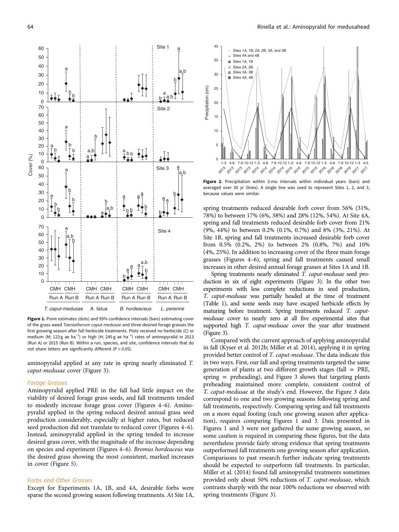<span id="page-4-0"></span>

Figure 1. Point estimates (dots) and 95% confidence intervals (bars) estimating cover of the grass weed Taeniatherum caput-medusae and three desired forage grasses the first growing season after fall herbicide treatments. Plots received no herbicide (C) or medium (M; 123 g ae ha<sup>-1</sup>) or high (H; 245 g ae ha<sup>-1</sup>) rates of aminopyralid in 2013 (Run A) or 2015 (Run B). Within a run, species, and site, confidence intervals that do not share letters are significantly different (P  $> 0.05$ ).

*T. caput-medusae A. fatua B. hordeaceus*

*L. perenne*

aminopyralid applied at any rate in spring nearly eliminated T. caput-medusae cover [\(Figure 3\)](#page-5-0).

#### Forage Grasses

Aminopyralid applied PRE in the fall had little impact on the viability of desired forage grass seeds, and fall treatments tended to modestly increase forage grass cover ([Figures 4](#page-6-0)–[6](#page-7-0)). Aminopyralid applied in the spring reduced desired annual grass seed production considerably, especially at higher rates, but reduced seed production did not translate to reduced cover [\(Figures 4](#page-6-0)–[6](#page-7-0)). Instead, aminopyralid applied in the spring tended to increase desired grass cover, with the magnitude of the increase depending on species and experiment ([Figures 4](#page-6-0)–[6](#page-7-0)). Bromus hordeaceus was the desired grass showing the most consistent, marked increases in cover ([Figure 5](#page-6-0)).

# Forbs and Other Grasses

Except for Experiments 1A, 1B, and 4A, desirable forbs were sparse the second growing season following treatments. At Site 1A,



Figure 2. Precipitation within 3-mo intervals within individual years (bars) and averaged over 30 yr (lines). A single line was used to represent Sites 1, 2, and 3, because values were similar.

spring treatments reduced desirable forb cover from 56% (31%, 78%) to between 17% (6%, 38%) and 28% (12%, 54%). At Site 4A, spring and fall treatments reduced desirable forb cover from 21% (9%, 44%) to between 0.2% (0.1%, 0.7%) and 8% (3%, 21%). At Site 1B, spring and fall treatments increased desirable forb cover from 0.5% (0.2%, 2%) to between 2% (0.8%, 7%) and 10% (4%, 25%). In addition to increasing cover of the three main forage grasses ([Figures 4](#page-6-0)–[6](#page-7-0)), spring and fall treatments caused small increases in other desired annual forage grasses at Sites 1A and 1B.

Spring treatments nearly eliminated T. caput-medusae seed production in six of eight experiments [\(Figure 3](#page-5-0)). In the other two experiments with less complete reductions in seed production, T. caput-medusae was partially headed at the time of treatment [\(Table 1\)](#page-3-0), and some seeds may have escaped herbicide effects by maturing before treatment. Spring treatments reduced T. caputmedusae cover to nearly zero at all five experimental sites that supported high *T. caput-medusae* cover the year after treatment [\(Figure 3](#page-5-0)).

Compared with the current approach of applying aminopyralid in fall (Kyser et al. [2012b](#page-8-0); Miller et al. [2014](#page-8-0)), applying it in spring provided better control of T. caput-medusae. The data indicate this in two ways. First, our fall and spring treatments targeted the same generation of plants at two different growth stages (fall  $=$  PRE, spring = preheading), and [Figure 3](#page-5-0) shows that targeting plants preheading maintained more complete, consistent control of T. caput-medusae at the study's end. However, the [Figure 3](#page-5-0) data correspond to one and two growing seasons following spring and fall treatments, respectively. Comparing spring and fall treatments on a more equal footing (each one growing season after application), requires comparing Figures 1 and [3.](#page-5-0) Data presented in Figures 1 and [3](#page-5-0) were not gathered the same growing season, so some caution is required in comparing these figures, but the data nevertheless provide fairly strong evidence that spring treatments outperformed fall treatments one growing season after application. Comparisons to past research further indicate spring treatments should be expected to outperform fall treatments. In particular, Miller et al. [\(2014](#page-8-0)) found fall aminopyralid treatments sometimes provided only about 50% reductions of T. caput-medusae, which contrasts sharply with the near 100% reductions we observed with spring treatments [\(Figure 3\)](#page-5-0).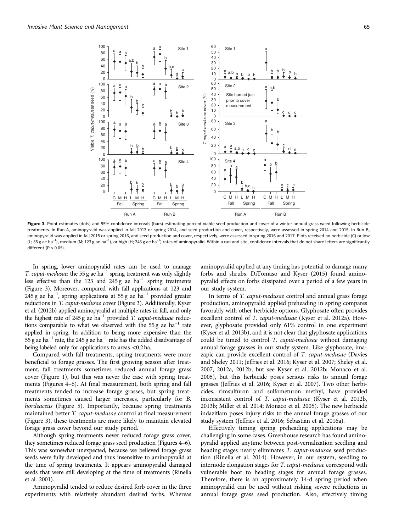<span id="page-5-0"></span>

Figure 3. Point estimates (dots) and 95% confidence intervals (bars) estimating percent viable seed production and cover of a winter annual grass weed following herbicide treatments. In Run A, aminopyralid was applied in fall 2013 or spring 2014, and seed production and cover, respectively, were assessed in spring 2014 and 2015. In Run B, aminopyralid was applied in fall 2015 or spring 2016, and seed production and cover, respectively, were assessed in spring 2016 and 2017. Plots received no herbicide (C) or low (L; 55g ae ha<sup>−1</sup>), medium (M; 123g ae ha<sup>−1</sup>), or high (H; 245g ae ha<sup>−1</sup>) rates of aminopyralid. Within a run and site, confidence intervals that do not share letters are significantly different  $(P>0.05)$ .

In spring, lower aminopyralid rates can be used to manage T. caput-medusae: the 55 g ae ha−<sup>1</sup> spring treatment was only slightly less effective than the 123 and 245 g ae  $ha^{-1}$  spring treatments (Figure 3). Moreover, compared with fall applications at 123 and  $245 g$  ae ha<sup>-1</sup>, spring applications at 55 g ae ha<sup>-1</sup> provided greater reductions in T. caput-medusae cover (Figure 3). Additionally, Kyser et al. [\(2012b\)](#page-8-0) applied aminopyralid at multiple rates in fall, and only the highest rate of 245 g ae ha−<sup>1</sup> provided T. caput-medusae reductions comparable to what we observed with the 55 g ae ha<sup>-1</sup> rate applied in spring. In addition to being more expensive than the  $55 g$  ae ha<sup>-1</sup> rate, the 245 g ae ha<sup>-1</sup> rate has the added disadvantage of being labeled only for applications to areas <0.2 ha.

Compared with fall treatments, spring treatments were more beneficial to forage grasses. The first growing season after treatment, fall treatments sometimes reduced annual forage grass cover ([Figure 1\)](#page-4-0), but this was never the case with spring treatments ([Figures 4](#page-6-0)–[6](#page-7-0)). At final measurement, both spring and fall treatments tended to increase forage grasses, but spring treatments sometimes caused larger increases, particularly for B. hordeaceus ([Figure 5](#page-6-0)). Importantly, because spring treatments maintained better T. caput-medusae control at final measurement (Figure 3), these treatments are more likely to maintain elevated forage grass cover beyond our study period.

Although spring treatments never reduced forage grass cover, they sometimes reduced forage grass seed production [\(Figures 4](#page-6-0)–[6\)](#page-7-0). This was somewhat unexpected, because we believed forage grass seeds were fully developed and thus insensitive to aminopyralid at the time of spring treatments. It appears aminopyralid damaged seeds that were still developing at the time of treatments (Rinella et al. [2001\)](#page-8-0).

Aminopyralid tended to reduce desired forb cover in the three experiments with relatively abundant desired forbs. Whereas

aminopyralid applied at any timing has potential to damage many forbs and shrubs, DiTomaso and Kyser [\(2015](#page-7-0)) found aminopyralid effects on forbs dissipated over a period of a few years in our study system.

In terms of T. caput-medusae control and annual grass forage production, aminopyralid applied preheading in spring compares favorably with other herbicide options. Glyphosate often provides excellent control of T. caput-medusae (Kyser et al. [2012a](#page-8-0)). However, glyphosate provided only 61% control in one experiment (Kyser et al. [2013b](#page-8-0)), and it is not clear that glyphosate applications could be timed to control T. caput-medusae without damaging annual forage grasses in our study system. Like glyphosate, imazapic can provide excellent control of T. caput-medusae (Davies and Sheley [2011;](#page-7-0) Jeffries et al. [2016](#page-7-0); Kyser et al. [2007](#page-8-0); Sheley et al. [2007, 2012a](#page-8-0), [2012b](#page-8-0); but see Kyser et al. [2012b;](#page-8-0) Monaco et al. [2005\)](#page-8-0), but this herbicide poses serious risks to annual forage grasses (Jeffries et al. [2016;](#page-7-0) Kyser et al. [2007\)](#page-8-0). Two other herbicides, rimsulfuron and sulfometuron methyl, have provided inconsistent control of T. caput-medusae (Kyser et al. [2012b](#page-8-0), [2013b](#page-8-0); Miller et al. [2014;](#page-8-0) Monaco et al. [2005\)](#page-8-0). The new herbicide indaziflam poses injury risks to the annual forage grasses of our study system (Jeffries et al. [2016;](#page-7-0) Sebastian et al. [2016a](#page-8-0)).

Effectively timing spring preheading applications may be challenging in some cases. Greenhouse research has found aminopyralid applied anytime between post-vernalization seedling and heading stages nearly eliminates T. caput-medusae seed production (Rinella et al. [2014\)](#page-8-0). However, in our system, seedling to internode elongation stages for T. caput-medusae correspond with vulnerable boot to heading stages for annual forage grasses. Therefore, there is an approximately 14-d spring period when aminopyralid can be used without risking severe reductions in annual forage grass seed production. Also, effectively timing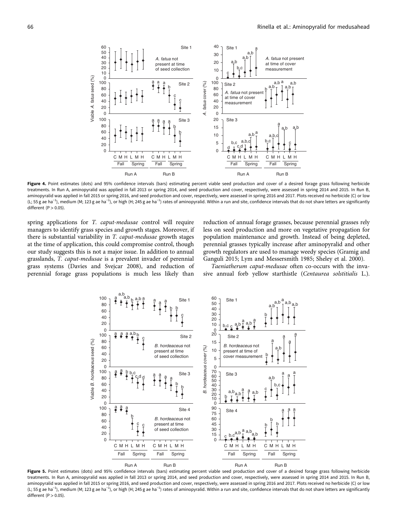<span id="page-6-0"></span>a a,b 30 40 50 30 *A. fatua* not a,b *A. fatua* not present 20 a,b present at time at time of cover  $20$ of seed collection b,c measurement 10 10 c Viable A. fatua seed (%) *A. fatua* seed (%)  $\overline{0}$ 0<br>100 100 a a,b  $\frac{a}{l}$ Site 2 *A. fatua* cover (%) a,b  $\frac{a}{l}$  b fatua cover (%) Site 2 a,b a,b 80 80 b *A. fatua* not present 60 60 c at time of cover 40 40 c measurement 20 20 0  $\overline{0}$ ₹ 100 20 Site 3 Site 3 a a a a a 80 15 b a,b a,b  $60$ b  $a, b \frac{a}{r}$ 10 a,b,c 40 b,c 5 a,b,c  $h<sub>c</sub>$ c 20 d  $\overline{0}$ 0 C M H L M H C M H L M H C M H L M H C M H I M H Fall Spring Fall Spring Fall Spring Fall Spring Run A Run B Run A Run B

 $60$   $\frac{1}{1}$   $\frac{1}{1}$  Site 1

Site 1

40

Figure 4. Point estimates (dots) and 95% confidence intervals (bars) estimating percent viable seed production and cover of a desired forage grass following herbicide treatments. In Run A, aminopyralid was applied in fall 2013 or spring 2014, and seed production and cover, respectively, were assessed in spring 2014 and 2015. In Run B, aminopyralid was applied in fall 2015 or spring 2016, and seed production and cover, respectively, were assessed in spring 2016 and 2017. Plots received no herbicide (C) or low (L; 55g ae ha<sup>−1</sup>), medium (M; 123g ae ha<sup>−1</sup>), or high (H; 245g ae ha<sup>−1</sup>) rates of aminopyralid. Within a run and site, confidence intervals that do not share letters are significantly different  $(P > 0.05)$ .

spring applications for T. caput-medusae control will require managers to identify grass species and growth stages. Moreover, if there is substantial variability in T. caput-medusae growth stages at the time of application, this could compromise control, though our study suggests this is not a major issue. In addition to annual grasslands, T. caput-medusae is a prevalent invader of perennial grass systems (Davies and Svejcar [2008](#page-7-0)), and reduction of perennial forage grass populations is much less likely than

reduction of annual forage grasses, because perennial grasses rely less on seed production and more on vegetative propagation for population maintenance and growth. Instead of being depleted, perennial grasses typically increase after aminopyralid and other growth regulators are used to manage weedy species (Gramig and Ganguli [2015;](#page-7-0) Lym and Messersmith [1985;](#page-8-0) Sheley et al. [2000](#page-8-0)).

Taeniatherum caput-medusae often co-occurs with the invasive annual forb yellow starthistle (Centaurea solstitialis L.).

Figure 5. Point estimates (dots) and 95% confidence intervals (bars) estimating percent viable seed production and cover of a desired forage grass following herbicide treatments. In Run A, aminopyralid was applied in fall 2013 or spring 2014, and seed production and cover, respectively, were assessed in spring 2014 and 2015. In Run B, aminopyralid was applied in fall 2015 or spring 2016, and seed production and cover, respectively, were assessed in spring 2016 and 2017. Plots received no herbicide (C) or low (L; 55g ae ha<sup>−1</sup>), medium (M; 123g ae ha<sup>−1</sup>), or high (H; 245g ae ha<sup>−1</sup>) rates of aminopyralid. Within a run and site, confidence intervals that do not share letters are significantly different  $(P>0.05)$ .

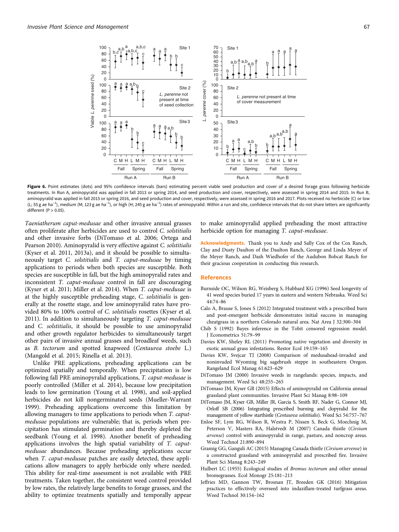<span id="page-7-0"></span>

Figure 6. Point estimates (dots) and 95% confidence intervals (bars) estimating percent viable seed production and cover of a desired forage grass following herbicide treatments. In Run A, aminopyralid was applied in fall 2013 or spring 2014, and seed production and cover, respectively, were assessed in spring 2014 and 2015. In Run B, aminopyralid was applied in fall 2015 or spring 2016, and seed production and cover, respectively, were assessed in spring 2016 and 2017. Plots received no herbicide (C) or low (L; 55g ae ha<sup>−1</sup>), medium (M; 123g ae ha<sup>−1</sup>), or high (H; 245g ae ha<sup>−1</sup>) rates of aminopyralid. Within a run and site, confidence intervals that do not share letters are significantly different  $(P>0.05)$ .

Taeniatherum caput-medusae and other invasive annual grasses often proliferate after herbicides are used to control C. solstitialis and other invasive forbs (DiTomaso et al. 2006; Ortega and Pearson [2010\)](#page-8-0). Aminopyralid is very effective against C. solstitialis (Kyser et al. [2011, 2013a\)](#page-8-0), and it should be possible to simultaneously target C. solstitialis and T. caput-medusae by timing applications to periods when both species are susceptible. Both species are susceptible in fall, but the high aminopyralid rates and inconsistent T. caput-medusae control in fall are discouraging (Kyser et al. [2011](#page-8-0); Miller et al. [2014](#page-8-0)). When T. caput-medusae is at the highly susceptible preheading stage, C. solstitialis is generally at the rosette stage, and low aminopyralid rates have provided 80% to 100% control of C. solstitialis rosettes (Kyser et al. [2011](#page-8-0)). In addition to simultaneously targeting T. caput-medusae and C. solstitialis, it should be possible to use aminopyralid and other growth regulator herbicides to simultaneously target other pairs of invasive annual grasses and broadleaf weeds, such as B. tectorum and spotted knapweed (Centaurea stoebe L.) (Mangold et al. [2015](#page-8-0); Rinella et al. [2013\)](#page-8-0).

Unlike PRE applications, preheading applications can be optimized spatially and temporally. When precipitation is low following fall PRE aminopyralid applications, T. caput-medusae is poorly controlled (Miller et al. [2014](#page-8-0)), because low precipitation leads to low germination (Young et al. [1998\)](#page-8-0), and soil-applied herbicides do not kill nongerminated seeds (Mueller-Warrant [1999](#page-8-0)). Preheading applications overcome this limitation by allowing managers to time applications to periods when T. caputmedusae populations are vulnerable; that is, periods when precipitation has stimulated germination and thereby depleted the seedbank (Young et al. [1998](#page-8-0)). Another benefit of preheading applications involves the high spatial variability of T. caputmedusae abundances. Because preheading applications occur when *T. caput-medusae* patches are easily detected, these applications allow managers to apply herbicide only where needed. This ability for real-time assessment is not available with PRE treatments. Taken together, the consistent weed control provided by low rates, the relatively large benefits to forage grasses, and the ability to optimize treatments spatially and temporally appear

to make aminopyralid applied preheading the most attractive herbicide option for managing T. caput-medusae.

Acknowledgments. Thank you to Andy and Sally Cox of the Cox Ranch, Clay and Dusty Daulton of the Daulton Ranch, George and Linda Meyer of the Meyer Ranch, and Dash Wiedhofer of the Audubon Bobcat Ranch for their gracious cooperation in conducting this research.

### References

- Burnside OC, Wilson RG, Weisberg S, Hubbard KG (1996) Seed longevity of 41 weed species buried 17 years in eastern and western Nebraska. Weed Sci 44:74–86
- Calo A, Brause S, Jones S (2012) Integrated treatment with a prescribed burn and post-emergent herbicide demonstrates initial success in managing cheatgrass in a northern Colorado natural area. Nat Area J 32:300–304
- Chib S (1992) Bayes inference in the Tobit censored regression model. J Econometrics 51:79–99
- Davies KW, Sheley RL (2011) Promoting native vegetation and diversity in exotic annual grass infestations. Restor Ecol 19:159–165
- Davies KW, Svejcar TJ (2008) Comparison of medusahead-invaded and noninvaded Wyoming big sagebrush steppe in southeastern Oregon. Rangeland Ecol Manag 61:623–629
- DiTomaso JM (2000) Invasive weeds in rangelands: species, impacts, and management. Weed Sci 48:255–265
- DiTomaso JM, Kyser GB (2015) Effects of aminopyralid on California annual grassland plant communities. Invasive Plant Sci Manag 8:98–109
- DiTomaso JM, Kyser GB, Miller JR, Garcia S, Smith RF, Nader G, Connor MJ, Orloff SB (2006) Integrating prescribed burning and clopyralid for the management of yellow starthistle (Centaurea solstitialis). Weed Sci 54:757–767
- Enloe SF, Lym RG, Wilson R, Westra P, Nissen S, Beck G, Moechnig M, Peterson V, Masters RA, Halstvedt M (2007) Canada thistle (Cirsium arvense) control with aminopyralid in range, pasture, and noncrop areas. Weed Technol 21:890–894
- Gramig GG, Ganguli AC (2015) Managing Canada thistle (Cirsium arvense) in a constructed grassland with aminopyralid and prescribed fire. Invasive Plant Sci Manag 8:243–249
- Hulbert LC (1955) Ecological studies of Bromus tectorum and other annual bromegrasses. Ecol Monogr 25:181–213
- Jeffries MD, Gannon TW, Brosnan JT, Breeden GK (2016) Mitigation practices to effectively overseed into indaziflam-treated turfgrass areas. Weed Technol 30:154–162